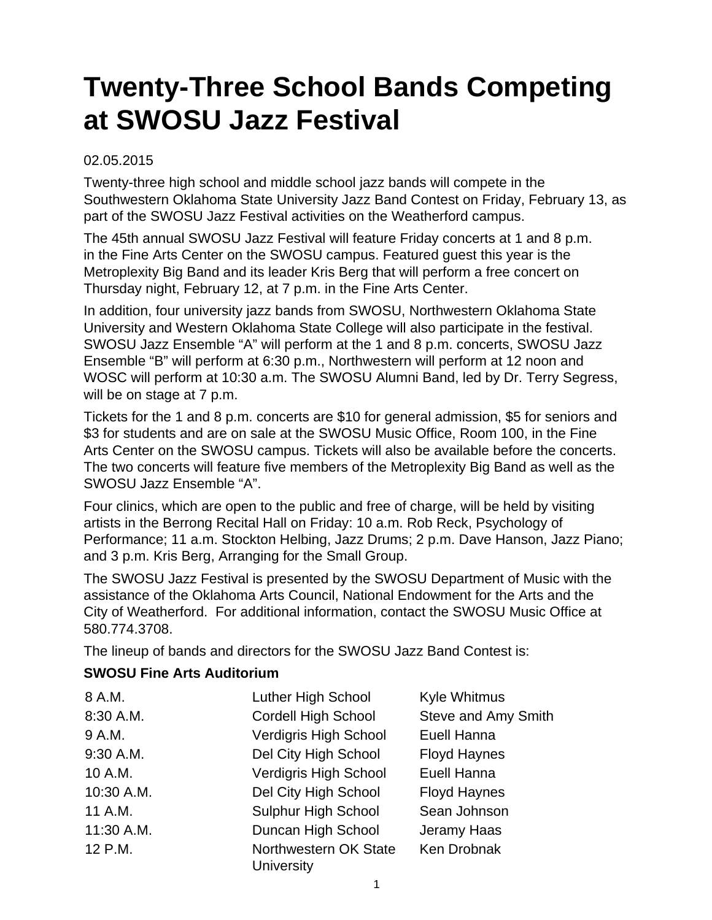## **Twenty-Three School Bands Competing at SWOSU Jazz Festival**

## 02.05.2015

Twenty-three high school and middle school jazz bands will compete in the Southwestern Oklahoma State University Jazz Band Contest on Friday, February 13, as part of the SWOSU Jazz Festival activities on the Weatherford campus.

The 45th annual SWOSU Jazz Festival will feature Friday concerts at 1 and 8 p.m. in the Fine Arts Center on the SWOSU campus. Featured guest this year is the Metroplexity Big Band and its leader Kris Berg that will perform a free concert on Thursday night, February 12, at 7 p.m. in the Fine Arts Center.

In addition, four university jazz bands from SWOSU, Northwestern Oklahoma State University and Western Oklahoma State College will also participate in the festival. SWOSU Jazz Ensemble "A" will perform at the 1 and 8 p.m. concerts, SWOSU Jazz Ensemble "B" will perform at 6:30 p.m., Northwestern will perform at 12 noon and WOSC will perform at 10:30 a.m. The SWOSU Alumni Band, led by Dr. Terry Segress, will be on stage at 7 p.m.

Tickets for the 1 and 8 p.m. concerts are \$10 for general admission, \$5 for seniors and \$3 for students and are on sale at the SWOSU Music Office, Room 100, in the Fine Arts Center on the SWOSU campus. Tickets will also be available before the concerts. The two concerts will feature five members of the Metroplexity Big Band as well as the SWOSU Jazz Ensemble "A".

Four clinics, which are open to the public and free of charge, will be held by visiting artists in the Berrong Recital Hall on Friday: 10 a.m. Rob Reck, Psychology of Performance; 11 a.m. Stockton Helbing, Jazz Drums; 2 p.m. Dave Hanson, Jazz Piano; and 3 p.m. Kris Berg, Arranging for the Small Group.

The SWOSU Jazz Festival is presented by the SWOSU Department of Music with the assistance of the Oklahoma Arts Council, National Endowment for the Arts and the City of Weatherford. For additional information, contact the SWOSU Music Office at 580.774.3708.

The lineup of bands and directors for the SWOSU Jazz Band Contest is:

## **SWOSU Fine Arts Auditorium**

| 8 A.M.     | Luther High School                  | <b>Kyle Whitmus</b> |
|------------|-------------------------------------|---------------------|
| 8:30 A.M.  | <b>Cordell High School</b>          | Steve and Amy Smith |
| 9 A.M.     | <b>Verdigris High School</b>        | Euell Hanna         |
| 9:30 A.M.  | Del City High School                | <b>Floyd Haynes</b> |
| 10 A.M.    | <b>Verdigris High School</b>        | Euell Hanna         |
| 10:30 A.M. | Del City High School                | <b>Floyd Haynes</b> |
| 11 A.M.    | Sulphur High School                 | Sean Johnson        |
| 11:30 A.M. | Duncan High School                  | Jeramy Haas         |
| 12 P.M.    | Northwestern OK State<br>University | Ken Drobnak         |